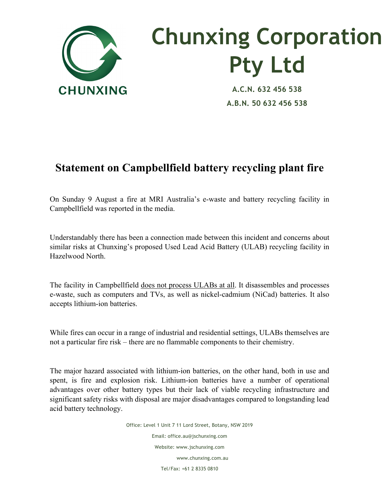

## **Chunxing Corporation Pty Ltd**

**A.C.N. 632 456 538 A.B.N. 50 632 456 538**

## **Statement on Campbellfield battery recycling plant fire**

On Sunday 9 August a fire at MRI Australia's e-waste and battery recycling facility in Campbellfield was reported in the media.

Understandably there has been a connection made between this incident and concerns about similar risks at Chunxing's proposed Used Lead Acid Battery (ULAB) recycling facility in Hazelwood North.

The facility in Campbellfield does not process ULABs at all. It disassembles and processes e-waste, such as computers and TVs, as well as nickel-cadmium (NiCad) batteries. It also accepts lithium-ion batteries.

While fires can occur in a range of industrial and residential settings, ULABs themselves are not a particular fire risk – there are no flammable components to their chemistry.

The major hazard associated with lithium-ion batteries, on the other hand, both in use and spent, is fire and explosion risk. Lithium-ion batteries have a number of operational advantages over other battery types but their lack of viable recycling infrastructure and significant safety risks with disposal are major disadvantages compared to longstanding lead acid battery technology.

> Office: Level 1 Unit 7 11 Lord Street, Botany, NSW 2019 Email: office.au@jschunxing.com Website: www.jschunxing.com www.chunxing.com.au Tel/Fax: +61 2 8335 0810